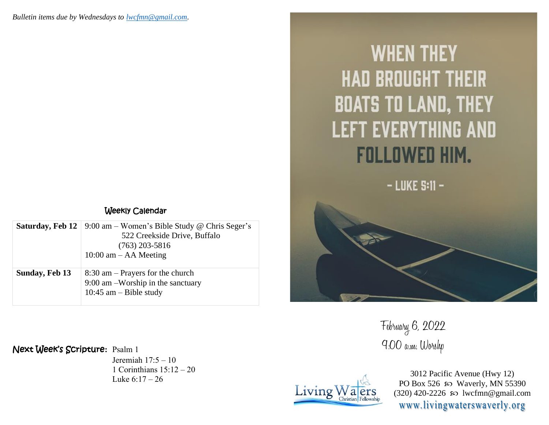| Weekly Calendar |  |
|-----------------|--|
|-----------------|--|

|                | <b>Saturday, Feb 12</b>   9:00 am – Women's Bible Study @ Chris Seger's<br>522 Creekside Drive, Buffalo<br>$(763)$ 203-5816<br>$10:00$ am $-$ AA Meeting |
|----------------|----------------------------------------------------------------------------------------------------------------------------------------------------------|
| Sunday, Feb 13 | $8:30$ am – Prayers for the church<br>9:00 am -Worship in the sanctuary<br>10:45 am $-$ Bible study                                                      |

## Next Week's Scripture**:** Psalm 1

Jeremiah 17:5 – 10 1 Corinthians 15:12 – 20 Luke 6:17 – 26

## **WHEN THEY HAD BROUGHT THEIR BOATS TO LAND, THEY LEFT EVERYTHING AND FOLLOWED HIM.**

 $-$  LUKE  $S:11-$ 

February 6, 2022 9:00 a.m. Worshp



3012 Pacific Avenue (Hwy 12) PO Box 526  $\wp$  Waverly, MN 55390 (320) 420-2226 so lwcfmn@gmail.com www.livingwaterswaverly.org